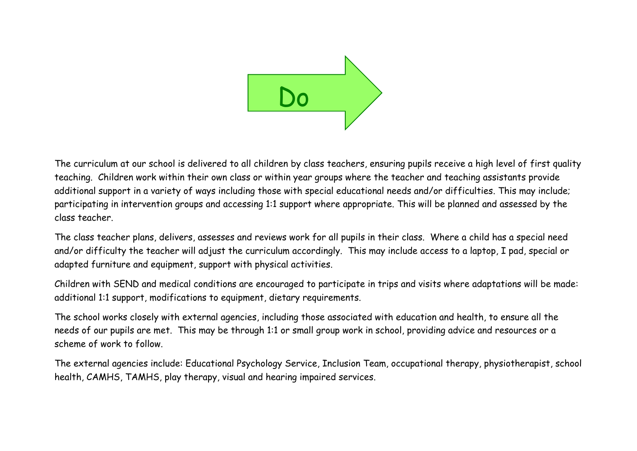

The curriculum at our school is delivered to all children by class teachers, ensuring pupils receive a high level of first quality teaching. Children work within their own class or within year groups where the teacher and teaching assistants provide additional support in a variety of ways including those with special educational needs and/or difficulties. This may include; participating in intervention groups and accessing 1:1 support where appropriate. This will be planned and assessed by the class teacher.

The class teacher plans, delivers, assesses and reviews work for all pupils in their class. Where a child has a special need and/or difficulty the teacher will adjust the curriculum accordingly. This may include access to a laptop, I pad, special or adapted furniture and equipment, support with physical activities.

Children with SEND and medical conditions are encouraged to participate in trips and visits where adaptations will be made: additional 1:1 support, modifications to equipment, dietary requirements.

The school works closely with external agencies, including those associated with education and health, to ensure all the needs of our pupils are met. This may be through 1:1 or small group work in school, providing advice and resources or a scheme of work to follow.

The external agencies include: Educational Psychology Service, Inclusion Team, occupational therapy, physiotherapist, school health, CAMHS, TAMHS, play therapy, visual and hearing impaired services.